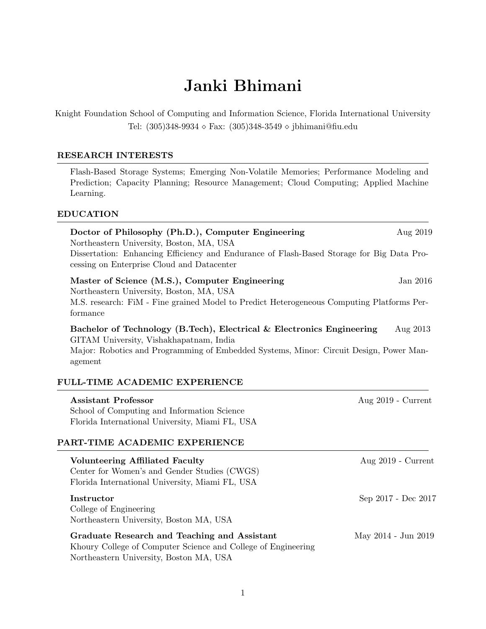# Janki Bhimani

Knight Foundation School of Computing and Information Science, Florida International University Tel: (305)348-9934 ⋄ Fax: (305)348-3549 ⋄ jbhimani@fiu.edu

# RESEARCH INTERESTS

Flash-Based Storage Systems; Emerging Non-Volatile Memories; Performance Modeling and Prediction; Capacity Planning; Resource Management; Cloud Computing; Applied Machine Learning.

# EDUCATION

| Doctor of Philosophy (Ph.D.), Computer Engineering<br>Northeastern University, Boston, MA, USA                                                                                                                           | Aug 2019             |
|--------------------------------------------------------------------------------------------------------------------------------------------------------------------------------------------------------------------------|----------------------|
| Dissertation: Enhancing Efficiency and Endurance of Flash-Based Storage for Big Data Pro-<br>cessing on Enterprise Cloud and Datacenter                                                                                  |                      |
| Master of Science (M.S.), Computer Engineering<br>Northeastern University, Boston, MA, USA<br>M.S. research: FiM - Fine grained Model to Predict Heterogeneous Computing Platforms Per-<br>formance                      | Jan 2016             |
| Bachelor of Technology $(B.Tech)$ , Electrical & Electronics Engineering<br>GITAM University, Vishakhapatnam, India<br>Major: Robotics and Programming of Embedded Systems, Minor: Circuit Design, Power Man-<br>agement | Aug 2013             |
| FULL-TIME ACADEMIC EXPERIENCE                                                                                                                                                                                            |                      |
| <b>Assistant Professor</b><br>School of Computing and Information Science<br>Florida International University, Miami FL, USA                                                                                             | Aug $2019$ - Current |
| PART-TIME ACADEMIC EXPERIENCE                                                                                                                                                                                            |                      |
| <b>Volunteering Affiliated Faculty</b><br>Center for Women's and Gender Studies (CWGS)<br>Florida International University, Miami FL, USA                                                                                | Aug $2019$ - Current |
| Instructor<br>College of Engineering<br>Northeastern University, Boston MA, USA                                                                                                                                          | Sep 2017 - Dec 2017  |
| Graduate Research and Teaching and Assistant<br>Khoury College of Computer Science and College of Engineering                                                                                                            | May 2014 - Jun 2019  |

Northeastern University, Boston MA, USA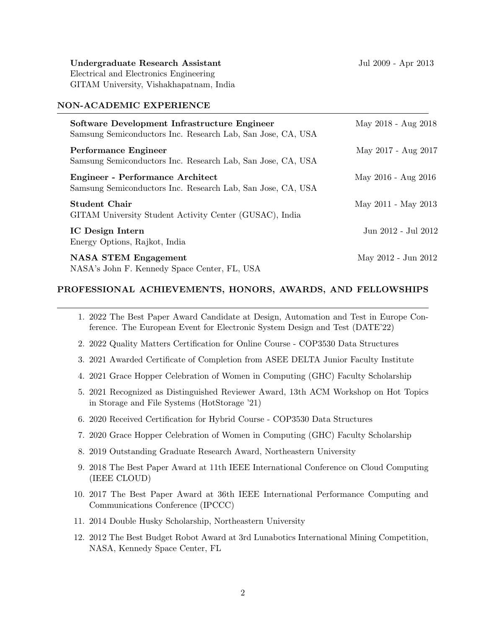Undergraduate Research Assistant Jul 2009 - Apr 2013 Electrical and Electronics Engineering GITAM University, Vishakhapatnam, India

# NON-ACADEMIC EXPERIENCE

| Software Development Infrastructure Engineer<br>Samsung Semiconductors Inc. Research Lab, San Jose, CA, USA | May 2018 - Aug 2018 |
|-------------------------------------------------------------------------------------------------------------|---------------------|
| <b>Performance Engineer</b><br>Samsung Semiconductors Inc. Research Lab, San Jose, CA, USA                  | May 2017 - Aug 2017 |
| <b>Engineer - Performance Architect</b><br>Samsung Semiconductors Inc. Research Lab, San Jose, CA, USA      | May 2016 - Aug 2016 |
| <b>Student Chair</b><br>GITAM University Student Activity Center (GUSAC), India                             | May 2011 - May 2013 |
| IC Design Intern<br>Energy Options, Rajkot, India                                                           | Jun 2012 - Jul 2012 |
| <b>NASA STEM Engagement</b><br>NASA's John F. Kennedy Space Center, FL, USA                                 | May 2012 - Jun 2012 |

## PROFESSIONAL ACHIEVEMENTS, HONORS, AWARDS, AND FELLOWSHIPS

- 1. 2022 The Best Paper Award Candidate at Design, Automation and Test in Europe Conference. The European Event for Electronic System Design and Test (DATE'22)
- 2. 2022 Quality Matters Certification for Online Course COP3530 Data Structures
- 3. 2021 Awarded Certificate of Completion from ASEE DELTA Junior Faculty Institute
- 4. 2021 Grace Hopper Celebration of Women in Computing (GHC) Faculty Scholarship
- 5. 2021 Recognized as Distinguished Reviewer Award, 13th ACM Workshop on Hot Topics in Storage and File Systems (HotStorage '21)
- 6. 2020 Received Certification for Hybrid Course COP3530 Data Structures
- 7. 2020 Grace Hopper Celebration of Women in Computing (GHC) Faculty Scholarship
- 8. 2019 Outstanding Graduate Research Award, Northeastern University
- 9. 2018 The Best Paper Award at 11th IEEE International Conference on Cloud Computing (IEEE CLOUD)
- 10. 2017 The Best Paper Award at 36th IEEE International Performance Computing and Communications Conference (IPCCC)
- 11. 2014 Double Husky Scholarship, Northeastern University
- 12. 2012 The Best Budget Robot Award at 3rd Lunabotics International Mining Competition, NASA, Kennedy Space Center, FL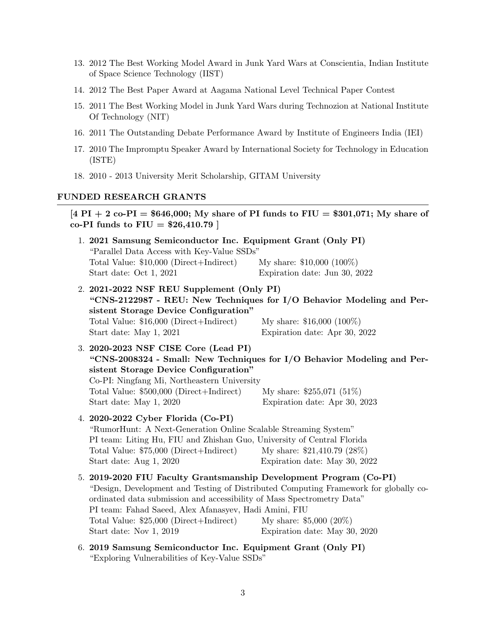- 13. 2012 The Best Working Model Award in Junk Yard Wars at Conscientia, Indian Institute of Space Science Technology (IIST)
- 14. 2012 The Best Paper Award at Aagama National Level Technical Paper Contest
- 15. 2011 The Best Working Model in Junk Yard Wars during Technozion at National Institute Of Technology (NIT)
- 16. 2011 The Outstanding Debate Performance Award by Institute of Engineers India (IEI)
- 17. 2010 The Impromptu Speaker Award by International Society for Technology in Education (ISTE)
- 18. 2010 2013 University Merit Scholarship, GITAM University

## FUNDED RESEARCH GRANTS

# $[4 P I + 2 co-PI = $646,000; My share of PI funds to FIU = $301,071; My share of$ co-PI funds to  $\text{FIU} = $26,410.79$  ]

| 1. 2021 Samsung Semiconductor Inc. Equipment Grant (Only PI)<br>"Parallel Data Access with Key-Value SSDs"                                                                                                                                                                                                                                                                                                                        |                               |  |
|-----------------------------------------------------------------------------------------------------------------------------------------------------------------------------------------------------------------------------------------------------------------------------------------------------------------------------------------------------------------------------------------------------------------------------------|-------------------------------|--|
| Total Value: \$10,000 (Direct+Indirect)                                                                                                                                                                                                                                                                                                                                                                                           | My share: $$10,000 (100\%)$   |  |
| Start date: Oct 1, 2021                                                                                                                                                                                                                                                                                                                                                                                                           | Expiration date: Jun 30, 2022 |  |
| 2. 2021-2022 NSF REU Supplement (Only PI)<br>"CNS-2122987 - REU: New Techniques for I/O Behavior Modeling and Per-                                                                                                                                                                                                                                                                                                                |                               |  |
| sistent Storage Device Configuration"<br>Total Value: \$16,000 (Direct+Indirect)                                                                                                                                                                                                                                                                                                                                                  | My share: $$16,000 (100\%)$   |  |
| Start date: May 1, 2021                                                                                                                                                                                                                                                                                                                                                                                                           | Expiration date: Apr 30, 2022 |  |
|                                                                                                                                                                                                                                                                                                                                                                                                                                   |                               |  |
| 3. 2020-2023 NSF CISE Core (Lead PI)<br>"CNS-2008324 - Small: New Techniques for I/O Behavior Modeling and Per-<br>sistent Storage Device Configuration"<br>Co-PI: Ningfang Mi, Northeastern University                                                                                                                                                                                                                           |                               |  |
| Total Value: \$500,000 (Direct+Indirect)                                                                                                                                                                                                                                                                                                                                                                                          | My share: $$255,071 (51%)$    |  |
| Start date: May 1, 2020                                                                                                                                                                                                                                                                                                                                                                                                           | Expiration date: Apr 30, 2023 |  |
| 4. 2020-2022 Cyber Florida (Co-PI)<br>"RumorHunt: A Next-Generation Online Scalable Streaming System"<br>PI team: Liting Hu, FIU and Zhishan Guo, University of Central Florida<br>Total Value: $$75,000$ (Direct+Indirect) My share: $$21,410.79$ (28%)<br>Start date: Aug 1, 2020<br>Expiration date: May 30, 2022                                                                                                              |                               |  |
| 5. 2019-2020 FIU Faculty Grantsmanship Development Program (Co-PI)<br>"Design, Development and Testing of Distributed Computing Framework for globally co-<br>ordinated data submission and accessibility of Mass Spectrometry Data"<br>PI team: Fahad Saeed, Alex Afanasyev, Hadi Amini, FIU<br>Total Value: \$25,000 (Direct+Indirect)<br>My share: $$5,000 (20\%)$<br>Start date: Nov 1, 2019<br>Expiration date: May 30, 2020 |                               |  |
| 6. 2019 Samsung Semiconductor Inc. Equipment Grant (Only PI)                                                                                                                                                                                                                                                                                                                                                                      |                               |  |

"Exploring Vulnerabilities of Key-Value SSDs"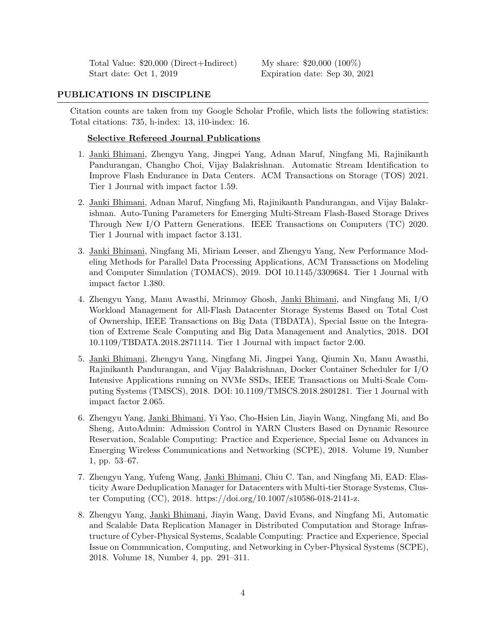Total Value: \$20,000 (Direct+Indirect) My share: \$20,000 (100%) Start date: Oct 1, 2019 Expiration date: Sep 30, 2021

#### PUBLICATIONS IN DISCIPLINE

Citation counts are taken from my Google Scholar Profile, which lists the following statistics: Total citations: 735, h-index: 13, i10-index: 16.

#### Selective Refereed Journal Publications

- 1. Janki Bhimani, Zhengyu Yang, Jingpei Yang, Adnan Maruf, Ningfang Mi, Rajinikanth Pandurangan, Changho Choi, Vijay Balakrishnan. Automatic Stream Identification to Improve Flash Endurance in Data Centers. ACM Transactions on Storage (TOS) 2021. Tier 1 Journal with impact factor 1.59.
- 2. Janki Bhimani, Adnan Maruf, Ningfang Mi, Rajinikanth Pandurangan, and Vijay Balakrishnan. Auto-Tuning Parameters for Emerging Multi-Stream Flash-Based Storage Drives Through New I/O Pattern Generations. IEEE Transactions on Computers (TC) 2020. Tier 1 Journal with impact factor 3.131.
- 3. Janki Bhimani, Ningfang Mi, Miriam Leeser, and Zhengyu Yang, New Performance Modeling Methods for Parallel Data Processing Applications, ACM Transactions on Modeling and Computer Simulation (TOMACS), 2019. DOI 10.1145/3309684. Tier 1 Journal with impact factor 1.380.
- 4. Zhengyu Yang, Manu Awasthi, Mrinmoy Ghosh, Janki Bhimani, and Ningfang Mi, I/O Workload Management for All-Flash Datacenter Storage Systems Based on Total Cost of Ownership, IEEE Transactions on Big Data (TBDATA), Special Issue on the Integration of Extreme Scale Computing and Big Data Management and Analytics, 2018. DOI 10.1109/TBDATA.2018.2871114. Tier 1 Journal with impact factor 2.00.
- 5. Janki Bhimani, Zhengyu Yang, Ningfang Mi, Jingpei Yang, Qiumin Xu, Manu Awasthi, Rajinikanth Pandurangan, and Vijay Balakrishnan, Docker Container Scheduler for I/O Intensive Applications running on NVMe SSDs, IEEE Transactions on Multi-Scale Computing Systems (TMSCS), 2018. DOI: 10.1109/TMSCS.2018.2801281. Tier 1 Journal with impact factor 2.065.
- 6. Zhengyu Yang, Janki Bhimani, Yi Yao, Cho-Hsien Lin, Jiayin Wang, Ningfang Mi, and Bo Sheng, AutoAdmin: Admission Control in YARN Clusters Based on Dynamic Resource Reservation, Scalable Computing: Practice and Experience, Special Issue on Advances in Emerging Wireless Communications and Networking (SCPE), 2018. Volume 19, Number 1, pp. 53–67.
- 7. Zhengyu Yang, Yufeng Wang, Janki Bhimani, Chiu C. Tan, and Ningfang Mi, EAD: Elasticity Aware Deduplication Manager for Datacenters with Multi-tier Storage Systems, Cluster Computing (CC), 2018. https://doi.org/10.1007/s10586-018-2141-z.
- 8. Zhengyu Yang, Janki Bhimani, Jiayin Wang, David Evans, and Ningfang Mi, Automatic and Scalable Data Replication Manager in Distributed Computation and Storage Infrastructure of Cyber-Physical Systems, Scalable Computing: Practice and Experience, Special Issue on Communication, Computing, and Networking in Cyber-Physical Systems (SCPE), 2018. Volume 18, Number 4, pp. 291–311.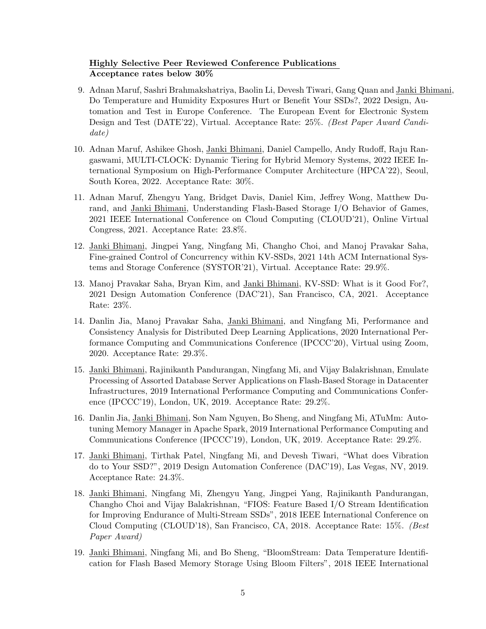# Highly Selective Peer Reviewed Conference Publications Acceptance rates below 30%

- 9. Adnan Maruf, Sashri Brahmakshatriya, Baolin Li, Devesh Tiwari, Gang Quan and Janki Bhimani, Do Temperature and Humidity Exposures Hurt or Benefit Your SSDs?, 2022 Design, Automation and Test in Europe Conference. The European Event for Electronic System Design and Test (DATE'22), Virtual. Acceptance Rate: 25%. (Best Paper Award Candidate)
- 10. Adnan Maruf, Ashikee Ghosh, Janki Bhimani, Daniel Campello, Andy Rudoff, Raju Rangaswami, MULTI-CLOCK: Dynamic Tiering for Hybrid Memory Systems, 2022 IEEE International Symposium on High-Performance Computer Architecture (HPCA'22), Seoul, South Korea, 2022. Acceptance Rate: 30%.
- 11. Adnan Maruf, Zhengyu Yang, Bridget Davis, Daniel Kim, Jeffrey Wong, Matthew Durand, and Janki Bhimani, Understanding Flash-Based Storage I/O Behavior of Games, 2021 IEEE International Conference on Cloud Computing (CLOUD'21), Online Virtual Congress, 2021. Acceptance Rate: 23.8%.
- 12. Janki Bhimani, Jingpei Yang, Ningfang Mi, Changho Choi, and Manoj Pravakar Saha, Fine-grained Control of Concurrency within KV-SSDs, 2021 14th ACM International Systems and Storage Conference (SYSTOR'21), Virtual. Acceptance Rate: 29.9%.
- 13. Manoj Pravakar Saha, Bryan Kim, and Janki Bhimani, KV-SSD: What is it Good For?, 2021 Design Automation Conference (DAC'21), San Francisco, CA, 2021. Acceptance Rate: 23%.
- 14. Danlin Jia, Manoj Pravakar Saha, Janki Bhimani, and Ningfang Mi, Performance and Consistency Analysis for Distributed Deep Learning Applications, 2020 International Performance Computing and Communications Conference (IPCCC'20), Virtual using Zoom, 2020. Acceptance Rate: 29.3%.
- 15. Janki Bhimani, Rajinikanth Pandurangan, Ningfang Mi, and Vijay Balakrishnan, Emulate Processing of Assorted Database Server Applications on Flash-Based Storage in Datacenter Infrastructures, 2019 International Performance Computing and Communications Conference (IPCCC'19), London, UK, 2019. Acceptance Rate: 29.2%.
- 16. Danlin Jia, Janki Bhimani, Son Nam Nguyen, Bo Sheng, and Ningfang Mi, ATuMm: Autotuning Memory Manager in Apache Spark, 2019 International Performance Computing and Communications Conference (IPCCC'19), London, UK, 2019. Acceptance Rate: 29.2%.
- 17. Janki Bhimani, Tirthak Patel, Ningfang Mi, and Devesh Tiwari, "What does Vibration do to Your SSD?", 2019 Design Automation Conference (DAC'19), Las Vegas, NV, 2019. Acceptance Rate: 24.3%.
- 18. Janki Bhimani, Ningfang Mi, Zhengyu Yang, Jingpei Yang, Rajinikanth Pandurangan, Changho Choi and Vijay Balakrishnan, "FIOS: Feature Based I/O Stream Identification for Improving Endurance of Multi-Stream SSDs", 2018 IEEE International Conference on Cloud Computing (CLOUD'18), San Francisco, CA, 2018. Acceptance Rate: 15%. (Best Paper Award)
- 19. Janki Bhimani, Ningfang Mi, and Bo Sheng, "BloomStream: Data Temperature Identification for Flash Based Memory Storage Using Bloom Filters", 2018 IEEE International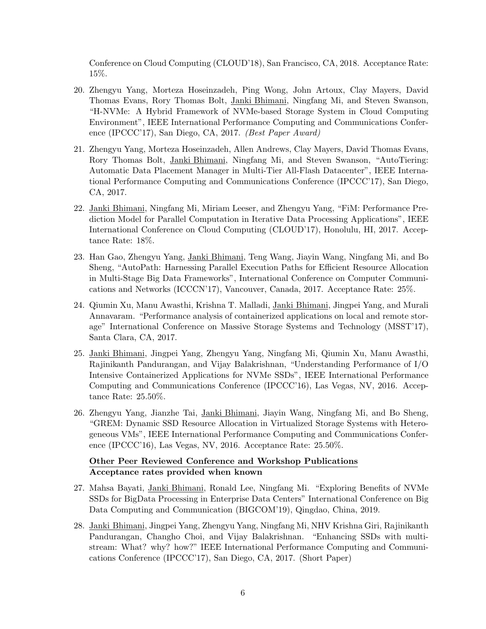Conference on Cloud Computing (CLOUD'18), San Francisco, CA, 2018. Acceptance Rate: 15%.

- 20. Zhengyu Yang, Morteza Hoseinzadeh, Ping Wong, John Artoux, Clay Mayers, David Thomas Evans, Rory Thomas Bolt, Janki Bhimani, Ningfang Mi, and Steven Swanson, "H-NVMe: A Hybrid Framework of NVMe-based Storage System in Cloud Computing Environment", IEEE International Performance Computing and Communications Conference (IPCCC'17), San Diego, CA, 2017. (Best Paper Award)
- 21. Zhengyu Yang, Morteza Hoseinzadeh, Allen Andrews, Clay Mayers, David Thomas Evans, Rory Thomas Bolt, Janki Bhimani, Ningfang Mi, and Steven Swanson, "AutoTiering: Automatic Data Placement Manager in Multi-Tier All-Flash Datacenter", IEEE International Performance Computing and Communications Conference (IPCCC'17), San Diego, CA, 2017.
- 22. Janki Bhimani, Ningfang Mi, Miriam Leeser, and Zhengyu Yang, "FiM: Performance Prediction Model for Parallel Computation in Iterative Data Processing Applications", IEEE International Conference on Cloud Computing (CLOUD'17), Honolulu, HI, 2017. Acceptance Rate: 18%.
- 23. Han Gao, Zhengyu Yang, Janki Bhimani, Teng Wang, Jiayin Wang, Ningfang Mi, and Bo Sheng, "AutoPath: Harnessing Parallel Execution Paths for Efficient Resource Allocation in Multi-Stage Big Data Frameworks", International Conference on Computer Communications and Networks (ICCCN'17), Vancouver, Canada, 2017. Acceptance Rate: 25%.
- 24. Qiumin Xu, Manu Awasthi, Krishna T. Malladi, Janki Bhimani, Jingpei Yang, and Murali Annavaram. "Performance analysis of containerized applications on local and remote storage" International Conference on Massive Storage Systems and Technology (MSST'17), Santa Clara, CA, 2017.
- 25. Janki Bhimani, Jingpei Yang, Zhengyu Yang, Ningfang Mi, Qiumin Xu, Manu Awasthi, Rajinikanth Pandurangan, and Vijay Balakrishnan, "Understanding Performance of I/O Intensive Containerized Applications for NVMe SSDs", IEEE International Performance Computing and Communications Conference (IPCCC'16), Las Vegas, NV, 2016. Acceptance Rate: 25.50%.
- 26. Zhengyu Yang, Jianzhe Tai, Janki Bhimani, Jiayin Wang, Ningfang Mi, and Bo Sheng, "GREM: Dynamic SSD Resource Allocation in Virtualized Storage Systems with Heterogeneous VMs", IEEE International Performance Computing and Communications Conference (IPCCC'16), Las Vegas, NV, 2016. Acceptance Rate: 25.50%.

# Other Peer Reviewed Conference and Workshop Publications Acceptance rates provided when known

- 27. Mahsa Bayati, Janki Bhimani, Ronald Lee, Ningfang Mi. "Exploring Benefits of NVMe SSDs for BigData Processing in Enterprise Data Centers" International Conference on Big Data Computing and Communication (BIGCOM'19), Qingdao, China, 2019.
- 28. Janki Bhimani, Jingpei Yang, Zhengyu Yang, Ningfang Mi, NHV Krishna Giri, Rajinikanth Pandurangan, Changho Choi, and Vijay Balakrishnan. "Enhancing SSDs with multistream: What? why? how?" IEEE International Performance Computing and Communications Conference (IPCCC'17), San Diego, CA, 2017. (Short Paper)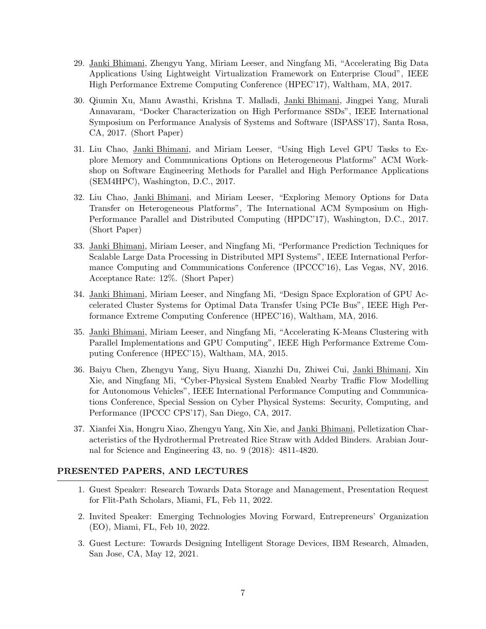- 29. Janki Bhimani, Zhengyu Yang, Miriam Leeser, and Ningfang Mi, "Accelerating Big Data Applications Using Lightweight Virtualization Framework on Enterprise Cloud", IEEE High Performance Extreme Computing Conference (HPEC'17), Waltham, MA, 2017.
- 30. Qiumin Xu, Manu Awasthi, Krishna T. Malladi, Janki Bhimani, Jingpei Yang, Murali Annavaram, "Docker Characterization on High Performance SSDs", IEEE International Symposium on Performance Analysis of Systems and Software (ISPASS'17), Santa Rosa, CA, 2017. (Short Paper)
- 31. Liu Chao, Janki Bhimani, and Miriam Leeser, "Using High Level GPU Tasks to Explore Memory and Communications Options on Heterogeneous Platforms" ACM Workshop on Software Engineering Methods for Parallel and High Performance Applications (SEM4HPC), Washington, D.C., 2017.
- 32. Liu Chao, Janki Bhimani, and Miriam Leeser, "Exploring Memory Options for Data Transfer on Heterogeneous Platforms", The International ACM Symposium on High-Performance Parallel and Distributed Computing (HPDC'17), Washington, D.C., 2017. (Short Paper)
- 33. Janki Bhimani, Miriam Leeser, and Ningfang Mi, "Performance Prediction Techniques for Scalable Large Data Processing in Distributed MPI Systems", IEEE International Performance Computing and Communications Conference (IPCCC'16), Las Vegas, NV, 2016. Acceptance Rate: 12%. (Short Paper)
- 34. Janki Bhimani, Miriam Leeser, and Ningfang Mi, "Design Space Exploration of GPU Accelerated Cluster Systems for Optimal Data Transfer Using PCIe Bus", IEEE High Performance Extreme Computing Conference (HPEC'16), Waltham, MA, 2016.
- 35. Janki Bhimani, Miriam Leeser, and Ningfang Mi, "Accelerating K-Means Clustering with Parallel Implementations and GPU Computing", IEEE High Performance Extreme Computing Conference (HPEC'15), Waltham, MA, 2015.
- 36. Baiyu Chen, Zhengyu Yang, Siyu Huang, Xianzhi Du, Zhiwei Cui, Janki Bhimani, Xin Xie, and Ningfang Mi, "Cyber-Physical System Enabled Nearby Traffic Flow Modelling for Autonomous Vehicles", IEEE International Performance Computing and Communications Conference, Special Session on Cyber Physical Systems: Security, Computing, and Performance (IPCCC CPS'17), San Diego, CA, 2017.
- 37. Xianfei Xia, Hongru Xiao, Zhengyu Yang, Xin Xie, and Janki Bhimani, Pelletization Characteristics of the Hydrothermal Pretreated Rice Straw with Added Binders. Arabian Journal for Science and Engineering 43, no. 9 (2018): 4811-4820.

## PRESENTED PAPERS, AND LECTURES

- 1. Guest Speaker: Research Towards Data Storage and Management, Presentation Request for Flit-Path Scholars, Miami, FL, Feb 11, 2022.
- 2. Invited Speaker: Emerging Technologies Moving Forward, Entrepreneurs' Organization (EO), Miami, FL, Feb 10, 2022.
- 3. Guest Lecture: Towards Designing Intelligent Storage Devices, IBM Research, Almaden, San Jose, CA, May 12, 2021.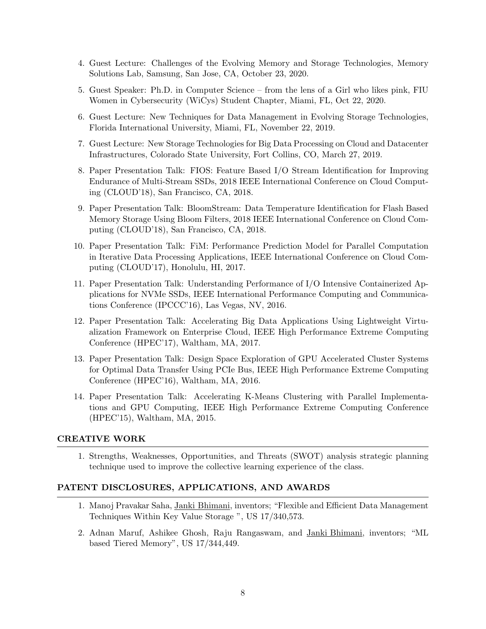- 4. Guest Lecture: Challenges of the Evolving Memory and Storage Technologies, Memory Solutions Lab, Samsung, San Jose, CA, October 23, 2020.
- 5. Guest Speaker: Ph.D. in Computer Science from the lens of a Girl who likes pink, FIU Women in Cybersecurity (WiCys) Student Chapter, Miami, FL, Oct 22, 2020.
- 6. Guest Lecture: New Techniques for Data Management in Evolving Storage Technologies, Florida International University, Miami, FL, November 22, 2019.
- 7. Guest Lecture: New Storage Technologies for Big Data Processing on Cloud and Datacenter Infrastructures, Colorado State University, Fort Collins, CO, March 27, 2019.
- 8. Paper Presentation Talk: FIOS: Feature Based I/O Stream Identification for Improving Endurance of Multi-Stream SSDs, 2018 IEEE International Conference on Cloud Computing (CLOUD'18), San Francisco, CA, 2018.
- 9. Paper Presentation Talk: BloomStream: Data Temperature Identification for Flash Based Memory Storage Using Bloom Filters, 2018 IEEE International Conference on Cloud Computing (CLOUD'18), San Francisco, CA, 2018.
- 10. Paper Presentation Talk: FiM: Performance Prediction Model for Parallel Computation in Iterative Data Processing Applications, IEEE International Conference on Cloud Computing (CLOUD'17), Honolulu, HI, 2017.
- 11. Paper Presentation Talk: Understanding Performance of I/O Intensive Containerized Applications for NVMe SSDs, IEEE International Performance Computing and Communications Conference (IPCCC'16), Las Vegas, NV, 2016.
- 12. Paper Presentation Talk: Accelerating Big Data Applications Using Lightweight Virtualization Framework on Enterprise Cloud, IEEE High Performance Extreme Computing Conference (HPEC'17), Waltham, MA, 2017.
- 13. Paper Presentation Talk: Design Space Exploration of GPU Accelerated Cluster Systems for Optimal Data Transfer Using PCIe Bus, IEEE High Performance Extreme Computing Conference (HPEC'16), Waltham, MA, 2016.
- 14. Paper Presentation Talk: Accelerating K-Means Clustering with Parallel Implementations and GPU Computing, IEEE High Performance Extreme Computing Conference (HPEC'15), Waltham, MA, 2015.

## CREATIVE WORK

1. Strengths, Weaknesses, Opportunities, and Threats (SWOT) analysis strategic planning technique used to improve the collective learning experience of the class.

#### PATENT DISCLOSURES, APPLICATIONS, AND AWARDS

- 1. Manoj Pravakar Saha, Janki Bhimani, inventors; "Flexible and Efficient Data Management Techniques Within Key Value Storage ", US 17/340,573.
- 2. Adnan Maruf, Ashikee Ghosh, Raju Rangaswam, and Janki Bhimani, inventors; "ML based Tiered Memory", US 17/344,449.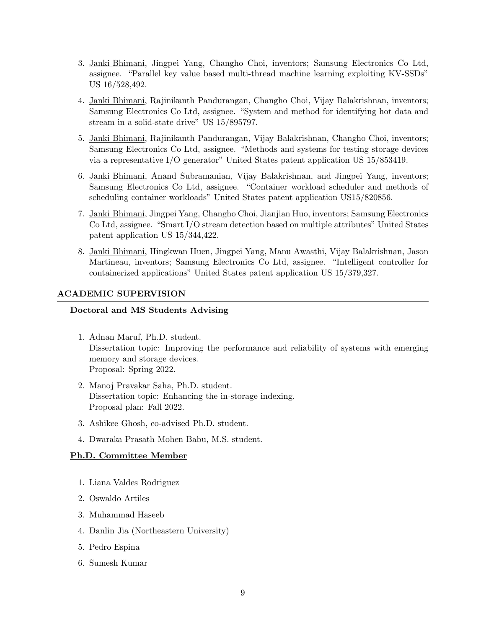- 3. Janki Bhimani, Jingpei Yang, Changho Choi, inventors; Samsung Electronics Co Ltd, assignee. "Parallel key value based multi-thread machine learning exploiting KV-SSDs" US 16/528,492.
- 4. Janki Bhimani, Rajinikanth Pandurangan, Changho Choi, Vijay Balakrishnan, inventors; Samsung Electronics Co Ltd, assignee. "System and method for identifying hot data and stream in a solid-state drive" US 15/895797.
- 5. Janki Bhimani, Rajinikanth Pandurangan, Vijay Balakrishnan, Changho Choi, inventors; Samsung Electronics Co Ltd, assignee. "Methods and systems for testing storage devices via a representative I/O generator" United States patent application US 15/853419.
- 6. Janki Bhimani, Anand Subramanian, Vijay Balakrishnan, and Jingpei Yang, inventors; Samsung Electronics Co Ltd, assignee. "Container workload scheduler and methods of scheduling container workloads" United States patent application US15/820856.
- 7. Janki Bhimani, Jingpei Yang, Changho Choi, Jianjian Huo, inventors; Samsung Electronics Co Ltd, assignee. "Smart I/O stream detection based on multiple attributes" United States patent application US 15/344,422.
- 8. Janki Bhimani, Hingkwan Huen, Jingpei Yang, Manu Awasthi, Vijay Balakrishnan, Jason Martineau, inventors; Samsung Electronics Co Ltd, assignee. "Intelligent controller for containerized applications" United States patent application US 15/379,327.

## ACADEMIC SUPERVISION

## Doctoral and MS Students Advising

- 1. Adnan Maruf, Ph.D. student. Dissertation topic: Improving the performance and reliability of systems with emerging memory and storage devices. Proposal: Spring 2022.
- 2. Manoj Pravakar Saha, Ph.D. student. Dissertation topic: Enhancing the in-storage indexing. Proposal plan: Fall 2022.
- 3. Ashikee Ghosh, co-advised Ph.D. student.
- 4. Dwaraka Prasath Mohen Babu, M.S. student.

# Ph.D. Committee Member

- 1. Liana Valdes Rodriguez
- 2. Oswaldo Artiles
- 3. Muhammad Haseeb
- 4. Danlin Jia (Northeastern University)
- 5. Pedro Espina
- 6. Sumesh Kumar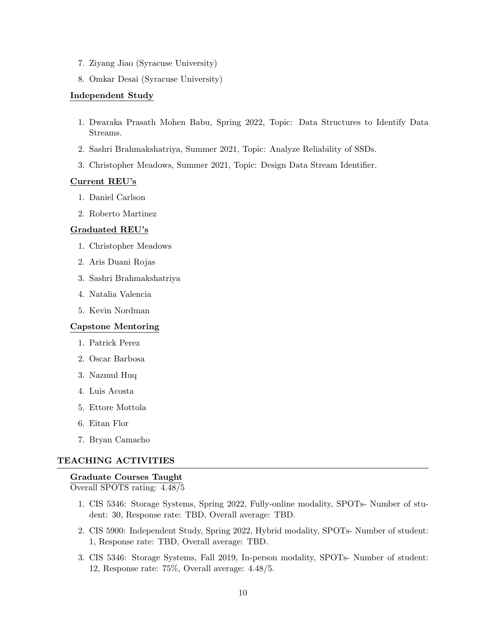- 7. Ziyang Jiao (Syracuse University)
- 8. Omkar Desai (Syracuse University)

# Independent Study

- 1. Dwaraka Prasath Mohen Babu, Spring 2022, Topic: Data Structures to Identify Data Streams.
- 2. Sashri Brahmakshatriya, Summer 2021, Topic: Analyze Reliability of SSDs.
- 3. Christopher Meadows, Summer 2021, Topic: Design Data Stream Identifier.

# Current REU's

- 1. Daniel Carlson
- 2. Roberto Martinez

# Graduated REU's

- 1. Christopher Meadows
- 2. Aris Duani Rojas
- 3. Sashri Brahmakshatriya
- 4. Natalia Valencia
- 5. Kevin Nordman

## Capstone Mentoring

- 1. Patrick Perez
- 2. Oscar Barbosa
- 3. Nazmul Huq
- 4. Luis Acosta
- 5. Ettore Mottola
- 6. Eitan Flor
- 7. Bryan Camacho

# TEACHING ACTIVITIES

# Graduate Courses Taught

Overall SPOTS rating: 4.48/5

- 1. CIS 5346: Storage Systems, Spring 2022, Fully-online modality, SPOTs- Number of student: 30, Response rate: TBD, Overall average: TBD.
- 2. CIS 5900: Independent Study, Spring 2022, Hybrid modality, SPOTs- Number of student: 1, Response rate: TBD, Overall average: TBD.
- 3. CIS 5346: Storage Systems, Fall 2019, In-person modality, SPOTs- Number of student: 12, Response rate: 75%, Overall average: 4.48/5.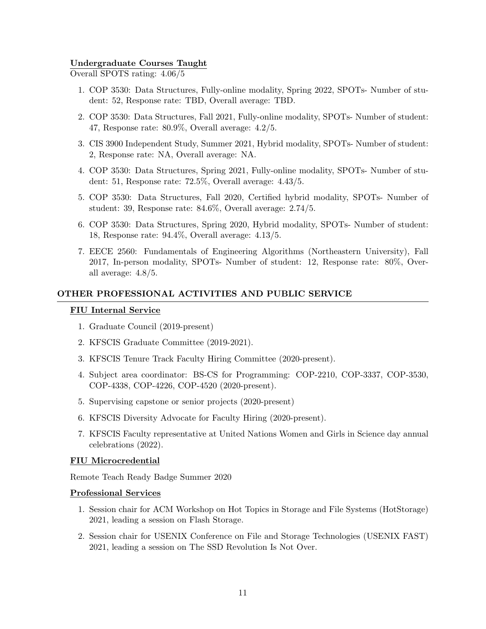# Undergraduate Courses Taught

Overall SPOTS rating: 4.06/5

- 1. COP 3530: Data Structures, Fully-online modality, Spring 2022, SPOTs- Number of student: 52, Response rate: TBD, Overall average: TBD.
- 2. COP 3530: Data Structures, Fall 2021, Fully-online modality, SPOTs- Number of student: 47, Response rate: 80.9%, Overall average: 4.2/5.
- 3. CIS 3900 Independent Study, Summer 2021, Hybrid modality, SPOTs- Number of student: 2, Response rate: NA, Overall average: NA.
- 4. COP 3530: Data Structures, Spring 2021, Fully-online modality, SPOTs- Number of student: 51, Response rate: 72.5%, Overall average: 4.43/5.
- 5. COP 3530: Data Structures, Fall 2020, Certified hybrid modality, SPOTs- Number of student: 39, Response rate: 84.6%, Overall average: 2.74/5.
- 6. COP 3530: Data Structures, Spring 2020, Hybrid modality, SPOTs- Number of student: 18, Response rate: 94.4%, Overall average: 4.13/5.
- 7. EECE 2560: Fundamentals of Engineering Algorithms (Northeastern University), Fall 2017, In-person modality, SPOTs- Number of student: 12, Response rate: 80%, Overall average: 4.8/5.

## OTHER PROFESSIONAL ACTIVITIES AND PUBLIC SERVICE

#### FIU Internal Service

- 1. Graduate Council (2019-present)
- 2. KFSCIS Graduate Committee (2019-2021).
- 3. KFSCIS Tenure Track Faculty Hiring Committee (2020-present).
- 4. Subject area coordinator: BS-CS for Programming: COP-2210, COP-3337, COP-3530, COP-4338, COP-4226, COP-4520 (2020-present).
- 5. Supervising capstone or senior projects (2020-present)
- 6. KFSCIS Diversity Advocate for Faculty Hiring (2020-present).
- 7. KFSCIS Faculty representative at United Nations Women and Girls in Science day annual celebrations (2022).

#### FIU Microcredential

Remote Teach Ready Badge Summer 2020

#### Professional Services

- 1. Session chair for ACM Workshop on Hot Topics in Storage and File Systems (HotStorage) 2021, leading a session on Flash Storage.
- 2. Session chair for USENIX Conference on File and Storage Technologies (USENIX FAST) 2021, leading a session on The SSD Revolution Is Not Over.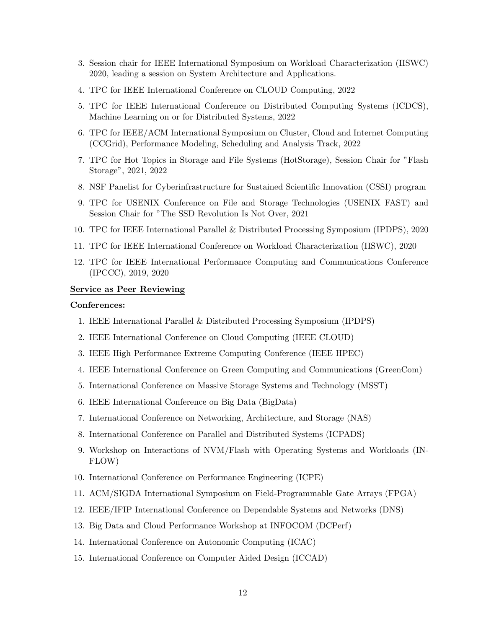- 3. Session chair for IEEE International Symposium on Workload Characterization (IISWC) 2020, leading a session on System Architecture and Applications.
- 4. TPC for IEEE International Conference on CLOUD Computing, 2022
- 5. TPC for IEEE International Conference on Distributed Computing Systems (ICDCS), Machine Learning on or for Distributed Systems, 2022
- 6. TPC for IEEE/ACM International Symposium on Cluster, Cloud and Internet Computing (CCGrid), Performance Modeling, Scheduling and Analysis Track, 2022
- 7. TPC for Hot Topics in Storage and File Systems (HotStorage), Session Chair for "Flash Storage", 2021, 2022
- 8. NSF Panelist for Cyberinfrastructure for Sustained Scientific Innovation (CSSI) program
- 9. TPC for USENIX Conference on File and Storage Technologies (USENIX FAST) and Session Chair for "The SSD Revolution Is Not Over, 2021
- 10. TPC for IEEE International Parallel & Distributed Processing Symposium (IPDPS), 2020
- 11. TPC for IEEE International Conference on Workload Characterization (IISWC), 2020
- 12. TPC for IEEE International Performance Computing and Communications Conference (IPCCC), 2019, 2020

#### Service as Peer Reviewing

#### Conferences:

- 1. IEEE International Parallel & Distributed Processing Symposium (IPDPS)
- 2. IEEE International Conference on Cloud Computing (IEEE CLOUD)
- 3. IEEE High Performance Extreme Computing Conference (IEEE HPEC)
- 4. IEEE International Conference on Green Computing and Communications (GreenCom)
- 5. International Conference on Massive Storage Systems and Technology (MSST)
- 6. IEEE International Conference on Big Data (BigData)
- 7. International Conference on Networking, Architecture, and Storage (NAS)
- 8. International Conference on Parallel and Distributed Systems (ICPADS)
- 9. Workshop on Interactions of NVM/Flash with Operating Systems and Workloads (IN-FLOW)
- 10. International Conference on Performance Engineering (ICPE)
- 11. ACM/SIGDA International Symposium on Field-Programmable Gate Arrays (FPGA)
- 12. IEEE/IFIP International Conference on Dependable Systems and Networks (DNS)
- 13. Big Data and Cloud Performance Workshop at INFOCOM (DCPerf)
- 14. International Conference on Autonomic Computing (ICAC)
- 15. International Conference on Computer Aided Design (ICCAD)